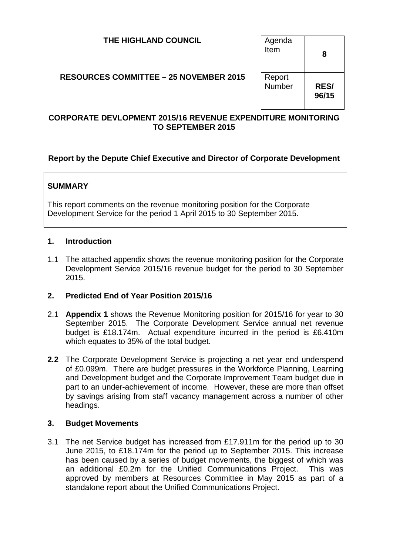| THE HIGHLAND COUNCIL                          | Agenda<br>Item   | 8                    |
|-----------------------------------------------|------------------|----------------------|
| <b>RESOURCES COMMITTEE - 25 NOVEMBER 2015</b> | Report<br>Number | <b>RES/</b><br>96/15 |

### **CORPORATE DEVLOPMENT 2015/16 REVENUE EXPENDITURE MONITORING TO SEPTEMBER 2015**

# **Report by the Depute Chief Executive and Director of Corporate Development**

# **SUMMARY**

This report comments on the revenue monitoring position for the Corporate Development Service for the period 1 April 2015 to 30 September 2015.

#### **1. Introduction**

1.1 The attached appendix shows the revenue monitoring position for the Corporate Development Service 2015/16 revenue budget for the period to 30 September 2015.

#### **2. Predicted End of Year Position 2015/16**

- 2.1 **Appendix 1** shows the Revenue Monitoring position for 2015/16 for year to 30 September 2015. The Corporate Development Service annual net revenue budget is £18.174m. Actual expenditure incurred in the period is £6.410m which equates to 35% of the total budget.
- **2***.***2** The Corporate Development Service is projecting a net year end underspend of £0.099m. There are budget pressures in the Workforce Planning, Learning and Development budget and the Corporate Improvement Team budget due in part to an under-achievement of income. However, these are more than offset by savings arising from staff vacancy management across a number of other headings.

#### **3. Budget Movements**

3.1 The net Service budget has increased from £17.911m for the period up to 30 June 2015, to £18.174m for the period up to September 2015. This increase has been caused by a series of budget movements, the biggest of which was an additional £0.2m for the Unified Communications Project. This was approved by members at Resources Committee in May 2015 as part of a standalone report about the Unified Communications Project.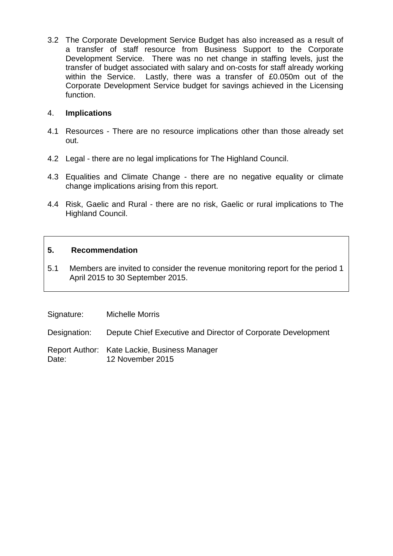3.2 The Corporate Development Service Budget has also increased as a result of a transfer of staff resource from Business Support to the Corporate Development Service. There was no net change in staffing levels, just the transfer of budget associated with salary and on-costs for staff already working within the Service. Lastly, there was a transfer of £0.050m out of the Corporate Development Service budget for savings achieved in the Licensing function.

### 4. **Implications**

- 4.1 Resources There are no resource implications other than those already set out.
- 4.2 Legal there are no legal implications for The Highland Council.
- 4.3 Equalities and Climate Change there are no negative equality or climate change implications arising from this report.
- 4.4 Risk, Gaelic and Rural there are no risk, Gaelic or rural implications to The Highland Council.

### **5. Recommendation**

5.1 Members are invited to consider the revenue monitoring report for the period 1 April 2015 to 30 September 2015.

Signature: Michelle Morris

Designation: Depute Chief Executive and Director of Corporate Development

Report Author: Kate Lackie, Business Manager Date: 12 November 2015